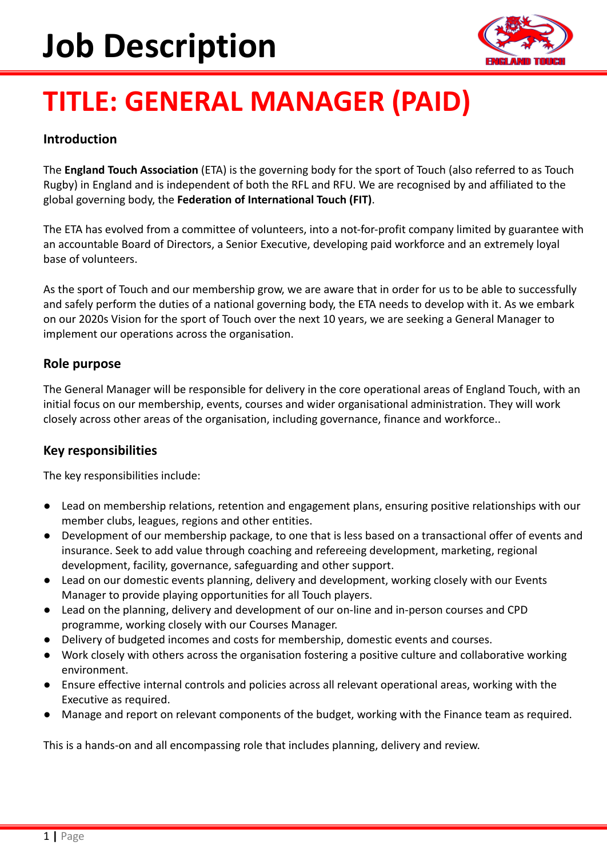# **Job Description**



# **TITLE: GENERAL MANAGER (PAID)**

# **Introduction**

The **England Touch Association** (ETA) is the governing body for the sport of Touch (also referred to as Touch Rugby) in England and is independent of both the RFL and RFU. We are recognised by and affiliated to the global governing body, the **Federation of International Touch (FIT)**.

The ETA has evolved from a committee of volunteers, into a not-for-profit company limited by guarantee with an accountable Board of Directors, a Senior Executive, developing paid workforce and an extremely loyal base of volunteers.

As the sport of Touch and our membership grow, we are aware that in order for us to be able to successfully and safely perform the duties of a national governing body, the ETA needs to develop with it. As we embark on our 2020s Vision for the sport of Touch over the next 10 years, we are seeking a General Manager to implement our operations across the organisation.

# **Role purpose**

The General Manager will be responsible for delivery in the core operational areas of England Touch, with an initial focus on our membership, events, courses and wider organisational administration. They will work closely across other areas of the organisation, including governance, finance and workforce..

# **Key responsibilities**

The key responsibilities include:

- Lead on membership relations, retention and engagement plans, ensuring positive relationships with our member clubs, leagues, regions and other entities.
- Development of our membership package, to one that is less based on a transactional offer of events and insurance. Seek to add value through coaching and refereeing development, marketing, regional development, facility, governance, safeguarding and other support.
- Lead on our domestic events planning, delivery and development, working closely with our Events Manager to provide playing opportunities for all Touch players.
- Lead on the planning, delivery and development of our on-line and in-person courses and CPD programme, working closely with our Courses Manager.
- Delivery of budgeted incomes and costs for membership, domestic events and courses.
- Work closely with others across the organisation fostering a positive culture and collaborative working environment.
- Ensure effective internal controls and policies across all relevant operational areas, working with the Executive as required.
- Manage and report on relevant components of the budget, working with the Finance team as required.

This is a hands-on and all encompassing role that includes planning, delivery and review.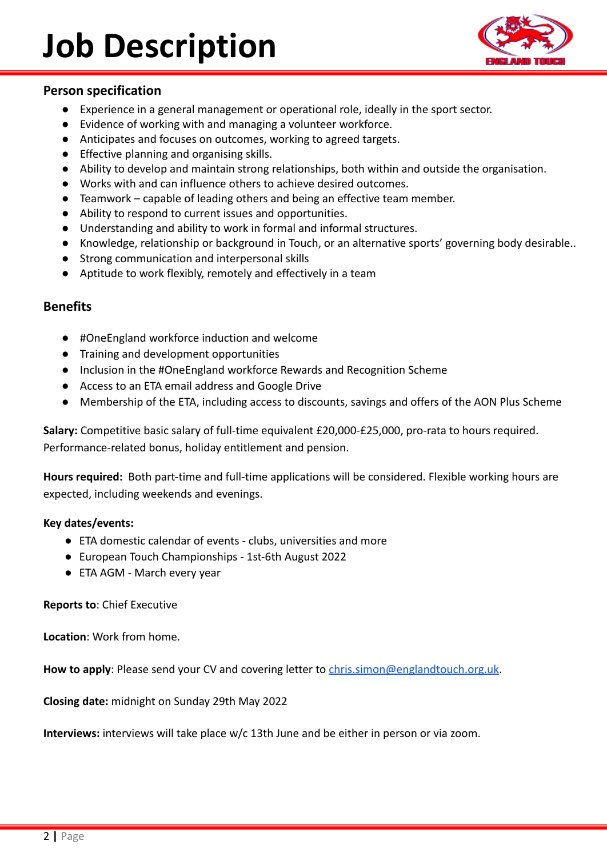

## **Person specification**

- Experience in a general management or operational role, ideally in the sport sector.
- Evidence of working with and managing a volunteer workforce.
- Anticipates and focuses on outcomes, working to agreed targets.
- Effective planning and organising skills.
- Ability to develop and maintain strong relationships, both within and outside the organisation.
- Works with and can influence others to achieve desired outcomes.
- Teamwork capable of leading others and being an effective team member.
- Ability to respond to current issues and opportunities.
- Understanding and ability to work in formal and informal structures.
- Knowledge, relationship or background in Touch, or an alternative sports' governing body desirable..
- Strong communication and interpersonal skills
- Aptitude to work flexibly, remotely and effectively in a team

### **Benefits**

- #OneEngland workforce induction and welcome
- Training and development opportunities
- Inclusion in the #OneEngland workforce Rewards and Recognition Scheme
- Access to an ETA email address and Google Drive
- Membership of the ETA, including access to discounts, savings and offers of the AON Plus Scheme

**Salary:** Competitive basic salary of full-time equivalent £20,000-£25,000, pro-rata to hours required. Performance-related bonus, holiday entitlement and pension.

**Hours required:** Both part-time and full-time applications will be considered. Flexible working hours are expected, including weekends and evenings.

#### **Key dates/events:**

- ETA domestic calendar of events clubs, universities and more
- European Touch Championships 1st-6th August 2022
- ETA AGM March every year

**Reports to**: Chief Executive

**Location**: Work from home.

How to apply: Please send your CV and covering letter to *[chris.simon@englandtouch.org.uk](mailto:chris.simon@englandtouch.org.uk).* 

**Closing date:** midnight on Sunday 29th May 2022

**Interviews:** interviews will take place w/c 13th June and be either in person or via zoom.